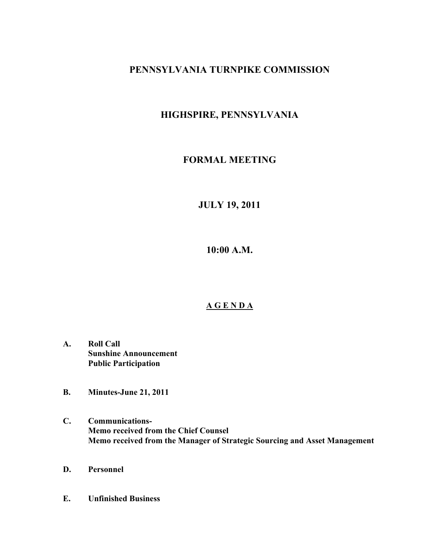# **PENNSYLVANIA TURNPIKE COMMISSION**

# **HIGHSPIRE, PENNSYLVANIA**

# **FORMAL MEETING**

**JULY 19, 2011**

**10:00 A.M.**

# **A G E N D A**

- **A. Roll Call Sunshine Announcement Public Participation**
- **B. Minutes-June 21, 2011**
- **C. Communications-Memo received from the Chief Counsel Memo received from the Manager of Strategic Sourcing and Asset Management**
- **D. Personnel**
- **E. Unfinished Business**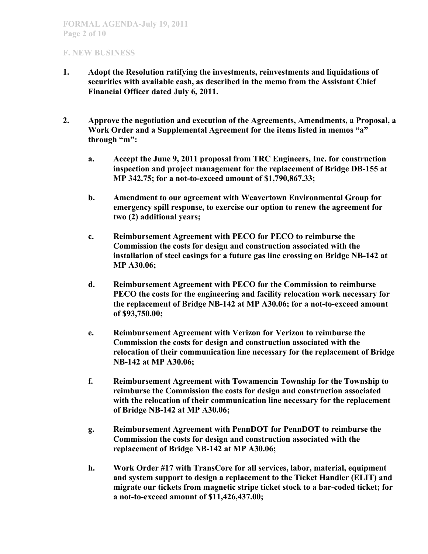- **1. Adopt the Resolution ratifying the investments, reinvestments and liquidations of securities with available cash, as described in the memo from the Assistant Chief Financial Officer dated July 6, 2011.**
- **2. Approve the negotiation and execution of the Agreements, Amendments, a Proposal, a Work Order and a Supplemental Agreement for the items listed in memos "a" through "m":**
	- **a. Accept the June 9, 2011 proposal from TRC Engineers, Inc. for construction inspection and project management for the replacement of Bridge DB-155 at MP 342.75; for a not-to-exceed amount of \$1,790,867.33;**
	- **b. Amendment to our agreement with Weavertown Environmental Group for emergency spill response, to exercise our option to renew the agreement for two (2) additional years;**
	- **c. Reimbursement Agreement with PECO for PECO to reimburse the Commission the costs for design and construction associated with the installation of steel casings for a future gas line crossing on Bridge NB-142 at MP A30.06;**
	- **d. Reimbursement Agreement with PECO for the Commission to reimburse PECO the costs for the engineering and facility relocation work necessary for the replacement of Bridge NB-142 at MP A30.06; for a not-to-exceed amount of \$93,750.00;**
	- **e. Reimbursement Agreement with Verizon for Verizon to reimburse the Commission the costs for design and construction associated with the relocation of their communication line necessary for the replacement of Bridge NB-142 at MP A30.06;**
	- **f. Reimbursement Agreement with Towamencin Township for the Township to reimburse the Commission the costs for design and construction associated with the relocation of their communication line necessary for the replacement of Bridge NB-142 at MP A30.06;**
	- **g. Reimbursement Agreement with PennDOT for PennDOT to reimburse the Commission the costs for design and construction associated with the replacement of Bridge NB-142 at MP A30.06;**
	- **h. Work Order #17 with TransCore for all services, labor, material, equipment and system support to design a replacement to the Ticket Handler (ELIT) and migrate our tickets from magnetic stripe ticket stock to a bar-coded ticket; for a not-to-exceed amount of \$11,426,437.00;**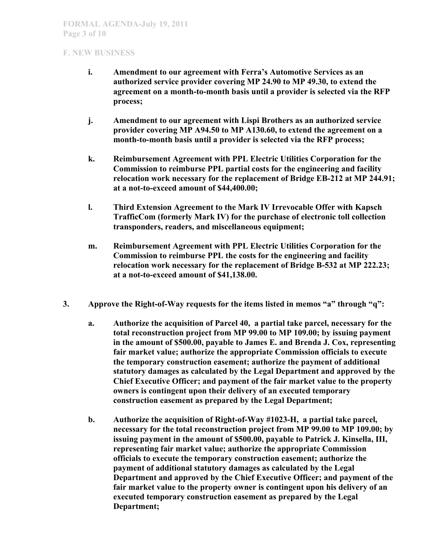- **i. Amendment to our agreement with Ferra's Automotive Services as an authorized service provider covering MP 24.90 to MP 49.30, to extend the agreement on a month-to-month basis until a provider is selected via the RFP process;**
- **j. Amendment to our agreement with Lispi Brothers as an authorized service provider covering MP A94.50 to MP A130.60, to extend the agreement on a month-to-month basis until a provider is selected via the RFP process;**
- **k. Reimbursement Agreement with PPL Electric Utilities Corporation for the Commission to reimburse PPL partial costs for the engineering and facility relocation work necessary for the replacement of Bridge EB-212 at MP 244.91; at a not-to-exceed amount of \$44,400.00;**
- **l. Third Extension Agreement to the Mark IV Irrevocable Offer with Kapsch TrafficCom (formerly Mark IV) for the purchase of electronic toll collection transponders, readers, and miscellaneous equipment;**
- **m. Reimbursement Agreement with PPL Electric Utilities Corporation for the Commission to reimburse PPL the costs for the engineering and facility relocation work necessary for the replacement of Bridge B-532 at MP 222.23; at a not-to-exceed amount of \$41,138.00.**
- **3. Approve the Right-of-Way requests for the items listed in memos "a" through "q":**
	- **a. Authorize the acquisition of Parcel 40, a partial take parcel, necessary for the total reconstruction project from MP 99.00 to MP 109.00; by issuing payment in the amount of \$500.00, payable to James E. and Brenda J. Cox, representing fair market value; authorize the appropriate Commission officials to execute the temporary construction easement; authorize the payment of additional statutory damages as calculated by the Legal Department and approved by the Chief Executive Officer; and payment of the fair market value to the property owners is contingent upon their delivery of an executed temporary construction easement as prepared by the Legal Department;**
	- **b. Authorize the acquisition of Right-of-Way #1023-H, a partial take parcel, necessary for the total reconstruction project from MP 99.00 to MP 109.00; by issuing payment in the amount of \$500.00, payable to Patrick J. Kinsella, III, representing fair market value; authorize the appropriate Commission officials to execute the temporary construction easement; authorize the payment of additional statutory damages as calculated by the Legal Department and approved by the Chief Executive Officer; and payment of the fair market value to the property owner is contingent upon his delivery of an executed temporary construction easement as prepared by the Legal Department;**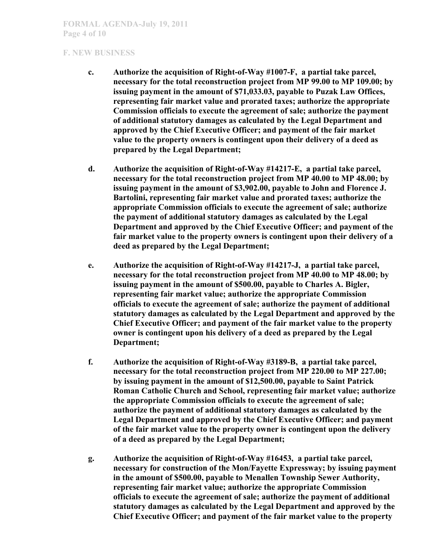- **c. Authorize the acquisition of Right-of-Way #1007-F, a partial take parcel, necessary for the total reconstruction project from MP 99.00 to MP 109.00; by issuing payment in the amount of \$71,033.03, payable to Puzak Law Offices, representing fair market value and prorated taxes; authorize the appropriate Commission officials to execute the agreement of sale; authorize the payment of additional statutory damages as calculated by the Legal Department and approved by the Chief Executive Officer; and payment of the fair market value to the property owners is contingent upon their delivery of a deed as prepared by the Legal Department;**
- **d. Authorize the acquisition of Right-of-Way #14217-E, a partial take parcel, necessary for the total reconstruction project from MP 40.00 to MP 48.00; by issuing payment in the amount of \$3,902.00, payable to John and Florence J. Bartolini, representing fair market value and prorated taxes; authorize the appropriate Commission officials to execute the agreement of sale; authorize the payment of additional statutory damages as calculated by the Legal Department and approved by the Chief Executive Officer; and payment of the fair market value to the property owners is contingent upon their delivery of a deed as prepared by the Legal Department;**
- **e. Authorize the acquisition of Right-of-Way #14217-J, a partial take parcel, necessary for the total reconstruction project from MP 40.00 to MP 48.00; by issuing payment in the amount of \$500.00, payable to Charles A. Bigler, representing fair market value; authorize the appropriate Commission officials to execute the agreement of sale; authorize the payment of additional statutory damages as calculated by the Legal Department and approved by the Chief Executive Officer; and payment of the fair market value to the property owner is contingent upon his delivery of a deed as prepared by the Legal Department;**
- **f. Authorize the acquisition of Right-of-Way #3189-B, a partial take parcel, necessary for the total reconstruction project from MP 220.00 to MP 227.00; by issuing payment in the amount of \$12,500.00, payable to Saint Patrick Roman Catholic Church and School, representing fair market value; authorize the appropriate Commission officials to execute the agreement of sale; authorize the payment of additional statutory damages as calculated by the Legal Department and approved by the Chief Executive Officer; and payment of the fair market value to the property owner is contingent upon the delivery of a deed as prepared by the Legal Department;**
- **g. Authorize the acquisition of Right-of-Way #16453, a partial take parcel, necessary for construction of the Mon/Fayette Expressway; by issuing payment in the amount of \$500.00, payable to Menallen Township Sewer Authority, representing fair market value; authorize the appropriate Commission officials to execute the agreement of sale; authorize the payment of additional statutory damages as calculated by the Legal Department and approved by the Chief Executive Officer; and payment of the fair market value to the property**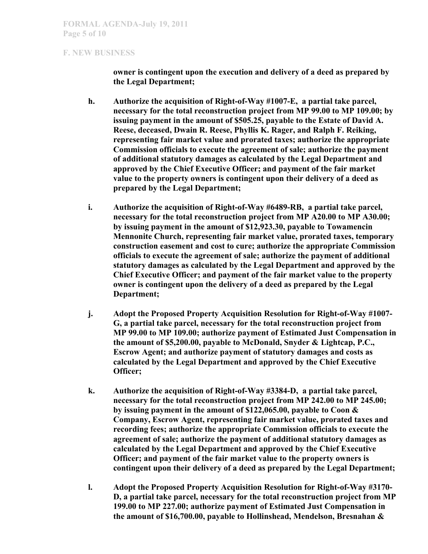**owner is contingent upon the execution and delivery of a deed as prepared by the Legal Department;**

- **h. Authorize the acquisition of Right-of-Way #1007-E, a partial take parcel, necessary for the total reconstruction project from MP 99.00 to MP 109.00; by issuing payment in the amount of \$505.25, payable to the Estate of David A. Reese, deceased, Dwain R. Reese, Phyllis K. Rager, and Ralph F. Reiking, representing fair market value and prorated taxes; authorize the appropriate Commission officials to execute the agreement of sale; authorize the payment of additional statutory damages as calculated by the Legal Department and approved by the Chief Executive Officer; and payment of the fair market value to the property owners is contingent upon their delivery of a deed as prepared by the Legal Department;**
- **i. Authorize the acquisition of Right-of-Way #6489-RB, a partial take parcel, necessary for the total reconstruction project from MP A20.00 to MP A30.00; by issuing payment in the amount of \$12,923.30, payable to Towamencin Mennonite Church, representing fair market value, prorated taxes, temporary construction easement and cost to cure; authorize the appropriate Commission officials to execute the agreement of sale; authorize the payment of additional statutory damages as calculated by the Legal Department and approved by the Chief Executive Officer; and payment of the fair market value to the property owner is contingent upon the delivery of a deed as prepared by the Legal Department;**
- **j. Adopt the Proposed Property Acquisition Resolution for Right-of-Way #1007- G, a partial take parcel, necessary for the total reconstruction project from MP 99.00 to MP 109.00; authorize payment of Estimated Just Compensation in the amount of \$5,200.00, payable to McDonald, Snyder & Lightcap, P.C., Escrow Agent; and authorize payment of statutory damages and costs as calculated by the Legal Department and approved by the Chief Executive Officer;**
- **k. Authorize the acquisition of Right-of-Way #3384-D, a partial take parcel, necessary for the total reconstruction project from MP 242.00 to MP 245.00; by issuing payment in the amount of \$122,065.00, payable to Coon & Company, Escrow Agent, representing fair market value, prorated taxes and recording fees; authorize the appropriate Commission officials to execute the agreement of sale; authorize the payment of additional statutory damages as calculated by the Legal Department and approved by the Chief Executive Officer; and payment of the fair market value to the property owners is contingent upon their delivery of a deed as prepared by the Legal Department;**
- **l. Adopt the Proposed Property Acquisition Resolution for Right-of-Way #3170- D, a partial take parcel, necessary for the total reconstruction project from MP 199.00 to MP 227.00; authorize payment of Estimated Just Compensation in the amount of \$16,700.00, payable to Hollinshead, Mendelson, Bresnahan &**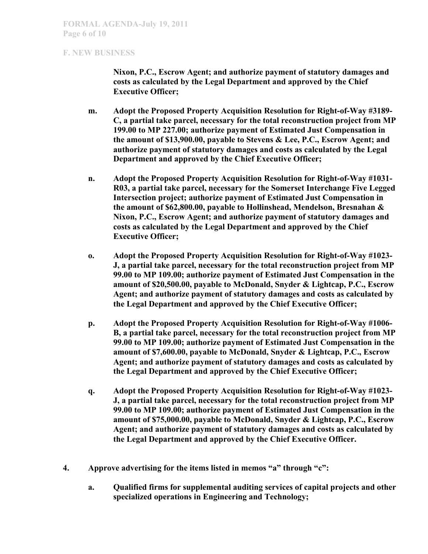**Nixon, P.C., Escrow Agent; and authorize payment of statutory damages and costs as calculated by the Legal Department and approved by the Chief Executive Officer;**

- **m. Adopt the Proposed Property Acquisition Resolution for Right-of-Way #3189- C, a partial take parcel, necessary for the total reconstruction project from MP 199.00 to MP 227.00; authorize payment of Estimated Just Compensation in the amount of \$13,900.00, payable to Stevens & Lee, P.C., Escrow Agent; and authorize payment of statutory damages and costs as calculated by the Legal Department and approved by the Chief Executive Officer;**
- **n. Adopt the Proposed Property Acquisition Resolution for Right-of-Way #1031- R03, a partial take parcel, necessary for the Somerset Interchange Five Legged Intersection project; authorize payment of Estimated Just Compensation in the amount of \$62,800.00, payable to Hollinshead, Mendelson, Bresnahan & Nixon, P.C., Escrow Agent; and authorize payment of statutory damages and costs as calculated by the Legal Department and approved by the Chief Executive Officer;**
- **o. Adopt the Proposed Property Acquisition Resolution for Right-of-Way #1023- J, a partial take parcel, necessary for the total reconstruction project from MP 99.00 to MP 109.00; authorize payment of Estimated Just Compensation in the amount of \$20,500.00, payable to McDonald, Snyder & Lightcap, P.C., Escrow Agent; and authorize payment of statutory damages and costs as calculated by the Legal Department and approved by the Chief Executive Officer;**
- **p. Adopt the Proposed Property Acquisition Resolution for Right-of-Way #1006- B, a partial take parcel, necessary for the total reconstruction project from MP 99.00 to MP 109.00; authorize payment of Estimated Just Compensation in the amount of \$7,600.00, payable to McDonald, Snyder & Lightcap, P.C., Escrow Agent; and authorize payment of statutory damages and costs as calculated by the Legal Department and approved by the Chief Executive Officer;**
- **q. Adopt the Proposed Property Acquisition Resolution for Right-of-Way #1023- J, a partial take parcel, necessary for the total reconstruction project from MP 99.00 to MP 109.00; authorize payment of Estimated Just Compensation in the amount of \$75,000.00, payable to McDonald, Snyder & Lightcap, P.C., Escrow Agent; and authorize payment of statutory damages and costs as calculated by the Legal Department and approved by the Chief Executive Officer.**
- **4. Approve advertising for the items listed in memos "a" through "c":**
	- **a. Qualified firms for supplemental auditing services of capital projects and other specialized operations in Engineering and Technology;**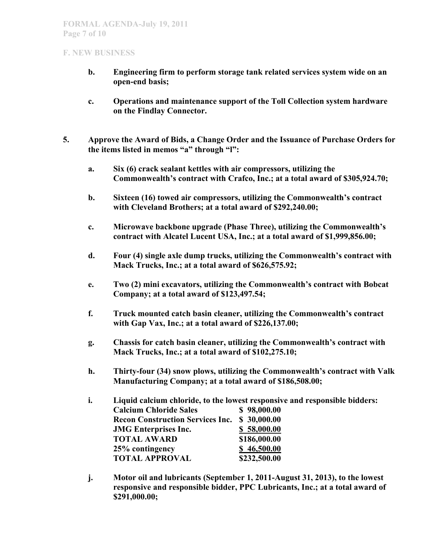- **b. Engineering firm to perform storage tank related services system wide on an open-end basis;**
- **c. Operations and maintenance support of the Toll Collection system hardware on the Findlay Connector.**
- **5. Approve the Award of Bids, a Change Order and the Issuance of Purchase Orders for the items listed in memos "a" through "l":**
	- **a. Six (6) crack sealant kettles with air compressors, utilizing the Commonwealth's contract with Crafco, Inc.; at a total award of \$305,924.70;**
	- **b. Sixteen (16) towed air compressors, utilizing the Commonwealth's contract with Cleveland Brothers; at a total award of \$292,240.00;**
	- **c. Microwave backbone upgrade (Phase Three), utilizing the Commonwealth's contract with Alcatel Lucent USA, Inc.; at a total award of \$1,999,856.00;**
	- **d. Four (4) single axle dump trucks, utilizing the Commonwealth's contract with Mack Trucks, Inc.; at a total award of \$626,575.92;**
	- **e. Two (2) mini excavators, utilizing the Commonwealth's contract with Bobcat Company; at a total award of \$123,497.54;**
	- **f. Truck mounted catch basin cleaner, utilizing the Commonwealth's contract with Gap Vax, Inc.; at a total award of \$226,137.00;**
	- **g. Chassis for catch basin cleaner, utilizing the Commonwealth's contract with Mack Trucks, Inc.; at a total award of \$102,275.10;**
	- **h. Thirty-four (34) snow plows, utilizing the Commonwealth's contract with Valk Manufacturing Company; at a total award of \$186,508.00;**
	- **i. Liquid calcium chloride, to the lowest responsive and responsible bidders: Calcium Chloride Sales \$ 98,000.00 Recon Construction Services Inc. \$ 30,000.00 JMG Enterprises Inc. \$ 58,000.00 TOTAL AWARD \$186,000.00 25% contingency \$ 46,500.00 TOTAL APPROVAL \$232,500.00**
	- **j. Motor oil and lubricants (September 1, 2011-August 31, 2013), to the lowest responsive and responsible bidder, PPC Lubricants, Inc.; at a total award of \$291,000.00;**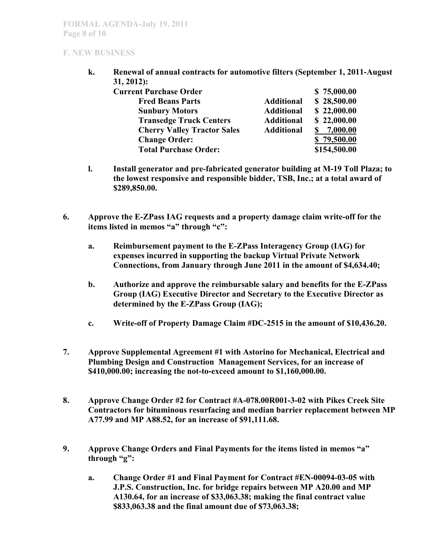**k. Renewal of annual contracts for automotive filters (September 1, 2011-August 31, 2012):**

| <b>Current Purchase Order</b>      |                   | \$75,000.00  |
|------------------------------------|-------------------|--------------|
| <b>Fred Beans Parts</b>            | <b>Additional</b> | \$28,500.00  |
| <b>Sunbury Motors</b>              | <b>Additional</b> | \$22,000.00  |
| <b>Transedge Truck Centers</b>     | <b>Additional</b> | \$22,000.00  |
| <b>Cherry Valley Tractor Sales</b> | <b>Additional</b> | 7,000.00     |
| <b>Change Order:</b>               |                   | \$79,500.00  |
| <b>Total Purchase Order:</b>       |                   | \$154,500.00 |

- **l. Install generator and pre-fabricated generator building at M-19 Toll Plaza; to the lowest responsive and responsible bidder, TSB, Inc.; at a total award of \$289,850.00.**
- **6. Approve the E-ZPass IAG requests and a property damage claim write-off for the items listed in memos "a" through "c":**
	- **a. Reimbursement payment to the E-ZPass Interagency Group (IAG) for expenses incurred in supporting the backup Virtual Private Network Connections, from January through June 2011 in the amount of \$4,634.40;**
	- **b. Authorize and approve the reimbursable salary and benefits for the E-ZPass Group (IAG) Executive Director and Secretary to the Executive Director as determined by the E-ZPass Group (IAG);**
	- **c. Write-off of Property Damage Claim #DC-2515 in the amount of \$10,436.20.**
- **7. Approve Supplemental Agreement #1 with Astorino for Mechanical, Electrical and Plumbing Design and Construction Management Services, for an increase of \$410,000.00; increasing the not-to-exceed amount to \$1,160,000.00.**
- **8. Approve Change Order #2 for Contract #A-078.00R001-3-02 with Pikes Creek Site Contractors for bituminous resurfacing and median barrier replacement between MP A77.99 and MP A88.52, for an increase of \$91,111.68.**
- **9. Approve Change Orders and Final Payments for the items listed in memos "a" through "g":**
	- **a. Change Order #1 and Final Payment for Contract #EN-00094-03-05 with J.P.S. Construction, Inc. for bridge repairs between MP A20.00 and MP A130.64, for an increase of \$33,063.38; making the final contract value \$833,063.38 and the final amount due of \$73,063.38;**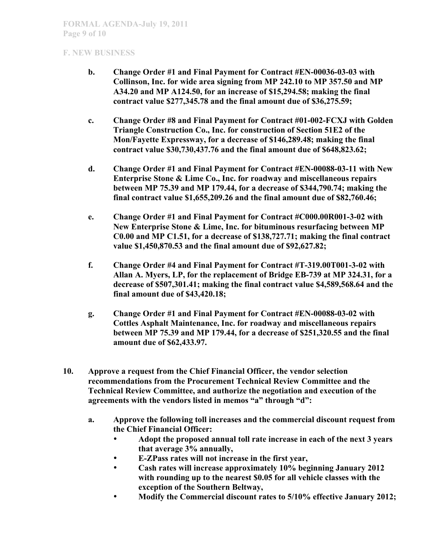- **b. Change Order #1 and Final Payment for Contract #EN-00036-03-03 with Collinson, Inc. for wide area signing from MP 242.10 to MP 357.50 and MP A34.20 and MP A124.50, for an increase of \$15,294.58; making the final contract value \$277,345.78 and the final amount due of \$36,275.59;**
- **c. Change Order #8 and Final Payment for Contract #01-002-FCXJ with Golden Triangle Construction Co., Inc. for construction of Section 51E2 of the Mon/Fayette Expressway, for a decrease of \$146,289.48; making the final contract value \$30,730,437.76 and the final amount due of \$648,823.62;**
- **d. Change Order #1 and Final Payment for Contract #EN-00088-03-11 with New Enterprise Stone & Lime Co., Inc. for roadway and miscellaneous repairs between MP 75.39 and MP 179.44, for a decrease of \$344,790.74; making the final contract value \$1,655,209.26 and the final amount due of \$82,760.46;**
- **e. Change Order #1 and Final Payment for Contract #C000.00R001-3-02 with New Enterprise Stone & Lime, Inc. for bituminous resurfacing between MP C0.00 and MP C1.51, for a decrease of \$138,727.71; making the final contract value \$1,450,870.53 and the final amount due of \$92,627.82;**
- **f. Change Order #4 and Final Payment for Contract #T-319.00T001-3-02 with Allan A. Myers, LP, for the replacement of Bridge EB-739 at MP 324.31, for a decrease of \$507,301.41; making the final contract value \$4,589,568.64 and the final amount due of \$43,420.18;**
- **g. Change Order #1 and Final Payment for Contract #EN-00088-03-02 with Cottles Asphalt Maintenance, Inc. for roadway and miscellaneous repairs between MP 75.39 and MP 179.44, for a decrease of \$251,320.55 and the final amount due of \$62,433.97.**
- **10. Approve a request from the Chief Financial Officer, the vendor selection recommendations from the Procurement Technical Review Committee and the Technical Review Committee, and authorize the negotiation and execution of the agreements with the vendors listed in memos "a" through "d":**
	- **a. Approve the following toll increases and the commercial discount request from the Chief Financial Officer:**
		- **Adopt the proposed annual toll rate increase in each of the next 3 years that average 3% annually,**
		- **E-ZPass rates will not increase in the first year,**
		- **Cash rates will increase approximately 10% beginning January 2012 with rounding up to the nearest \$0.05 for all vehicle classes with the exception of the Southern Beltway,**
		- **Modify the Commercial discount rates to 5/10% effective January 2012;**